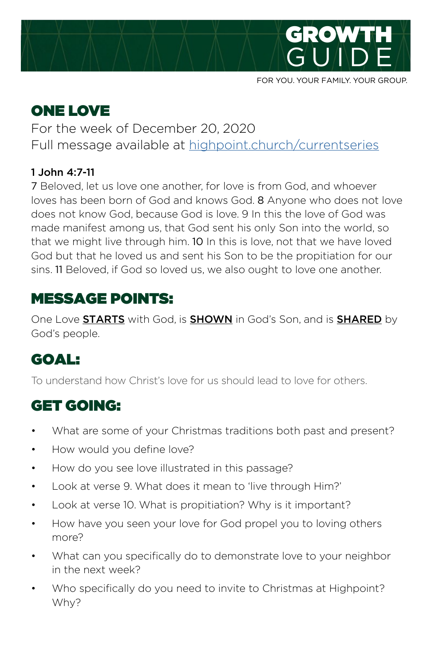

#### FOR YOU. YOUR FAMILY. YOUR GROUP.

# ONE LOVE

For the week of December 20, 2020 Full message available at [highpoint.church/currentseries](http://highpoint.church/currentseries)

#### 1 John 4:7-11

7 Beloved, let us love one another, for love is from God, and whoever loves has been born of God and knows God. 8 Anyone who does not love does not know God, because God is love. 9 In this the love of God was made manifest among us, that God sent his only Son into the world, so that we might live through him. 10 In this is love, not that we have loved God but that he loved us and sent his Son to be the propitiation for our sins. 11 Beloved, if God so loved us, we also ought to love one another.

## MESSAGE POINTS:

One Love **STARTS** with God, is **SHOWN** in God's Son, and is **SHARED** by God's people.

# GOAL:

To understand how Christ's love for us should lead to love for others.

## GET GOING:

- What are some of your Christmas traditions both past and present?
- How would you define love?
- How do you see love illustrated in this passage?
- Look at verse 9. What does it mean to 'live through Him?'
- Look at verse 10. What is propitiation? Why is it important?
- How have you seen your love for God propel you to loving others more?
- What can you specifically do to demonstrate love to your neighbor in the next week?
- Who specifically do you need to invite to Christmas at Highpoint? Why?